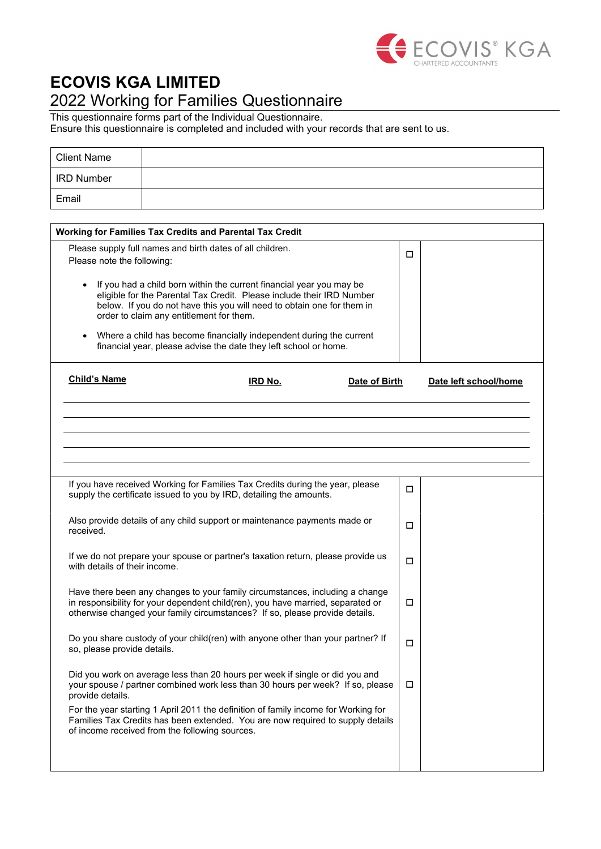

## **ECOVIS KGA LIMITED**

## 2022 Working for Families Questionnaire

This questionnaire forms part of the Individual Questionnaire.

Ensure this questionnaire is completed and included with your records that are sent to us.

| <b>Client Name</b> |  |
|--------------------|--|
| <b>IRD Number</b>  |  |
| Email              |  |

| Working for Families Tax Credits and Parental Tax Credit                                                                                                                                                                                                                                                                                                                                                                                                                                                       |               |                                                                                                                                                                                                                                                                                                                                                                                                                                                                                                                                                                                                                                                                                                                                                                                                                                                                                                                                                             |  |  |  |  |
|----------------------------------------------------------------------------------------------------------------------------------------------------------------------------------------------------------------------------------------------------------------------------------------------------------------------------------------------------------------------------------------------------------------------------------------------------------------------------------------------------------------|---------------|-------------------------------------------------------------------------------------------------------------------------------------------------------------------------------------------------------------------------------------------------------------------------------------------------------------------------------------------------------------------------------------------------------------------------------------------------------------------------------------------------------------------------------------------------------------------------------------------------------------------------------------------------------------------------------------------------------------------------------------------------------------------------------------------------------------------------------------------------------------------------------------------------------------------------------------------------------------|--|--|--|--|
| Please supply full names and birth dates of all children.<br>□<br>Please note the following:<br>If you had a child born within the current financial year you may be<br>eligible for the Parental Tax Credit. Please include their IRD Number<br>below. If you do not have this you will need to obtain one for them in<br>order to claim any entitlement for them.<br>Where a child has become financially independent during the current<br>financial year, please advise the date they left school or home. |               |                                                                                                                                                                                                                                                                                                                                                                                                                                                                                                                                                                                                                                                                                                                                                                                                                                                                                                                                                             |  |  |  |  |
| <b>IRD No.</b>                                                                                                                                                                                                                                                                                                                                                                                                                                                                                                 | Date of Birth | Date left school/home                                                                                                                                                                                                                                                                                                                                                                                                                                                                                                                                                                                                                                                                                                                                                                                                                                                                                                                                       |  |  |  |  |
|                                                                                                                                                                                                                                                                                                                                                                                                                                                                                                                |               |                                                                                                                                                                                                                                                                                                                                                                                                                                                                                                                                                                                                                                                                                                                                                                                                                                                                                                                                                             |  |  |  |  |
|                                                                                                                                                                                                                                                                                                                                                                                                                                                                                                                |               |                                                                                                                                                                                                                                                                                                                                                                                                                                                                                                                                                                                                                                                                                                                                                                                                                                                                                                                                                             |  |  |  |  |
| supply the certificate issued to you by IRD, detailing the amounts.                                                                                                                                                                                                                                                                                                                                                                                                                                            |               |                                                                                                                                                                                                                                                                                                                                                                                                                                                                                                                                                                                                                                                                                                                                                                                                                                                                                                                                                             |  |  |  |  |
|                                                                                                                                                                                                                                                                                                                                                                                                                                                                                                                |               |                                                                                                                                                                                                                                                                                                                                                                                                                                                                                                                                                                                                                                                                                                                                                                                                                                                                                                                                                             |  |  |  |  |
|                                                                                                                                                                                                                                                                                                                                                                                                                                                                                                                |               |                                                                                                                                                                                                                                                                                                                                                                                                                                                                                                                                                                                                                                                                                                                                                                                                                                                                                                                                                             |  |  |  |  |
|                                                                                                                                                                                                                                                                                                                                                                                                                                                                                                                |               |                                                                                                                                                                                                                                                                                                                                                                                                                                                                                                                                                                                                                                                                                                                                                                                                                                                                                                                                                             |  |  |  |  |
|                                                                                                                                                                                                                                                                                                                                                                                                                                                                                                                |               |                                                                                                                                                                                                                                                                                                                                                                                                                                                                                                                                                                                                                                                                                                                                                                                                                                                                                                                                                             |  |  |  |  |
|                                                                                                                                                                                                                                                                                                                                                                                                                                                                                                                |               |                                                                                                                                                                                                                                                                                                                                                                                                                                                                                                                                                                                                                                                                                                                                                                                                                                                                                                                                                             |  |  |  |  |
| of income received from the following sources.                                                                                                                                                                                                                                                                                                                                                                                                                                                                 |               |                                                                                                                                                                                                                                                                                                                                                                                                                                                                                                                                                                                                                                                                                                                                                                                                                                                                                                                                                             |  |  |  |  |
|                                                                                                                                                                                                                                                                                                                                                                                                                                                                                                                |               | If you have received Working for Families Tax Credits during the year, please<br>□<br>Also provide details of any child support or maintenance payments made or<br>□<br>If we do not prepare your spouse or partner's taxation return, please provide us<br>□<br>Have there been any changes to your family circumstances, including a change<br>in responsibility for your dependent child(ren), you have married, separated or<br>□<br>otherwise changed your family circumstances? If so, please provide details.<br>Do you share custody of your child(ren) with anyone other than your partner? If<br>□<br>Did you work on average less than 20 hours per week if single or did you and<br>your spouse / partner combined work less than 30 hours per week? If so, please<br>□<br>For the year starting 1 April 2011 the definition of family income for Working for<br>Families Tax Credits has been extended. You are now required to supply details |  |  |  |  |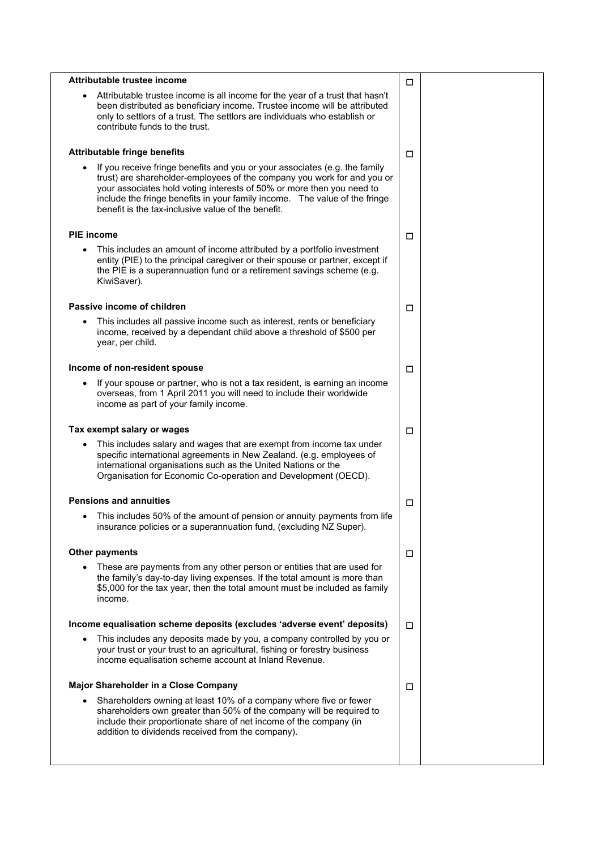| Attributable trustee income                                                                                                                                                                                                                                                                                                                                         |   |  |
|---------------------------------------------------------------------------------------------------------------------------------------------------------------------------------------------------------------------------------------------------------------------------------------------------------------------------------------------------------------------|---|--|
| Attributable trustee income is all income for the year of a trust that hasn't<br>been distributed as beneficiary income. Trustee income will be attributed<br>only to settlors of a trust. The settlors are individuals who establish or<br>contribute funds to the trust.                                                                                          |   |  |
| <b>Attributable fringe benefits</b>                                                                                                                                                                                                                                                                                                                                 |   |  |
| If you receive fringe benefits and you or your associates (e.g. the family<br>trust) are shareholder-employees of the company you work for and you or<br>your associates hold voting interests of 50% or more then you need to<br>include the fringe benefits in your family income.  The value of the fringe<br>benefit is the tax-inclusive value of the benefit. |   |  |
| <b>PIE</b> income                                                                                                                                                                                                                                                                                                                                                   |   |  |
| This includes an amount of income attributed by a portfolio investment<br>entity (PIE) to the principal caregiver or their spouse or partner, except if<br>the PIE is a superannuation fund or a retirement savings scheme (e.g.<br>KiwiSaver).                                                                                                                     |   |  |
| Passive income of children                                                                                                                                                                                                                                                                                                                                          | □ |  |
| This includes all passive income such as interest, rents or beneficiary<br>income, received by a dependant child above a threshold of \$500 per<br>year, per child.                                                                                                                                                                                                 |   |  |
| Income of non-resident spouse                                                                                                                                                                                                                                                                                                                                       |   |  |
| If your spouse or partner, who is not a tax resident, is earning an income<br>overseas, from 1 April 2011 you will need to include their worldwide<br>income as part of your family income.                                                                                                                                                                         |   |  |
| Tax exempt salary or wages                                                                                                                                                                                                                                                                                                                                          |   |  |
| This includes salary and wages that are exempt from income tax under<br>specific international agreements in New Zealand. (e.g. employees of<br>international organisations such as the United Nations or the<br>Organisation for Economic Co-operation and Development (OECD).                                                                                     |   |  |
| <b>Pensions and annuities</b>                                                                                                                                                                                                                                                                                                                                       |   |  |
| This includes 50% of the amount of pension or annuity payments from life<br>insurance policies or a superannuation fund, (excluding NZ Super).                                                                                                                                                                                                                      |   |  |
| <b>Other payments</b>                                                                                                                                                                                                                                                                                                                                               | □ |  |
| These are payments from any other person or entities that are used for<br>the family's day-to-day living expenses. If the total amount is more than<br>\$5,000 for the tax year, then the total amount must be included as family<br>income.                                                                                                                        |   |  |
| Income equalisation scheme deposits (excludes 'adverse event' deposits)                                                                                                                                                                                                                                                                                             |   |  |
| This includes any deposits made by you, a company controlled by you or<br>your trust or your trust to an agricultural, fishing or forestry business<br>income equalisation scheme account at Inland Revenue.                                                                                                                                                        |   |  |
| Major Shareholder in a Close Company                                                                                                                                                                                                                                                                                                                                |   |  |
| Shareholders owning at least 10% of a company where five or fewer<br>shareholders own greater than 50% of the company will be required to<br>include their proportionate share of net income of the company (in<br>addition to dividends received from the company).                                                                                                |   |  |